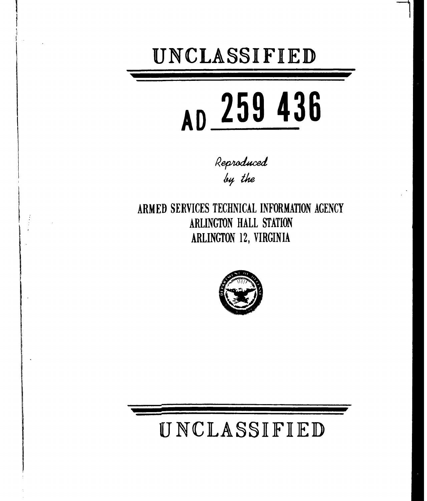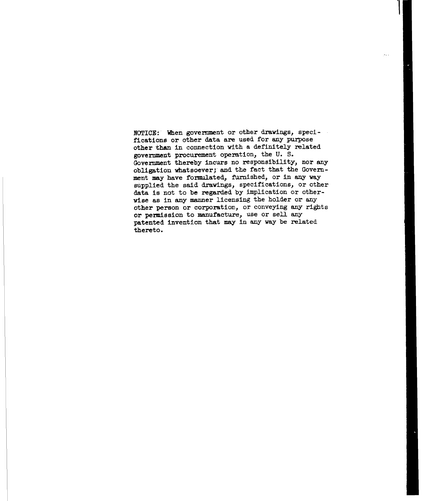NOTICE:' When government or other drawings, specifications or other data are used for any purpose other than in connection with a definitely related government procurement operation, the U. S. Government thereby incurs no responsibility, nor any obligation whatsoever; and the fact that the Government may have formulated, furnished, or in any way supplied the said drawings, specifications, or other data is not to be regarded by implication or otherwise as in any manner licensing the holder or any other person or corporation, or conveying any rights or permission to manufacture, use or sell any patented invention that may in any way be related thereto.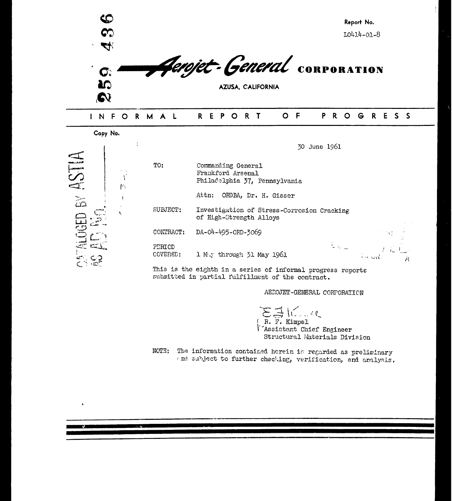

| Copy No.                                                    |   |                    |                                                                          |                   |
|-------------------------------------------------------------|---|--------------------|--------------------------------------------------------------------------|-------------------|
|                                                             |   |                    | 30 June 1961                                                             |                   |
| E.                                                          | 內 | TO:                | Commanding General<br>Frankford Arsenal<br>Philadelphia 37, Pennsylvania |                   |
| $\overline{\widetilde{\omega}}$                             |   |                    | Attn:<br>ORDBA, Dr. H. Gisser                                            |                   |
|                                                             |   | SUBJECT:           | Investigation of Stress-Corrosion Cracking<br>of High-Strength Alloys    |                   |
|                                                             |   | CONTRACT:          | DA-04-495-0RD-3069                                                       |                   |
| FALOGED<br>$\mathbb{C}$ is the set of $\mathbb{C}$<br>دت ⊝ت |   | PERICD<br>COVERED: | $\mathcal{A}(\mathbf{G})_{\mathbf{m}}$ .<br>1 M.y through 51 May 1961    | $\hat{\tau}$ o Ga |
| $\mathbb{Z}^n$                                              |   |                    | This is the eighth in a series of informal progress reports              |                   |

J

submitted in partial fulfillment of the contract.

**AEROJET-GENERAL CORPORATION** 

Á

R. F. Kimpe **I**<br> **I'** Assistant Chief Engineer<br>
Structural Materials Division

**NOTE:** The information contained herein ir regarded as preliminary and subject to further checking, verification, and analysis.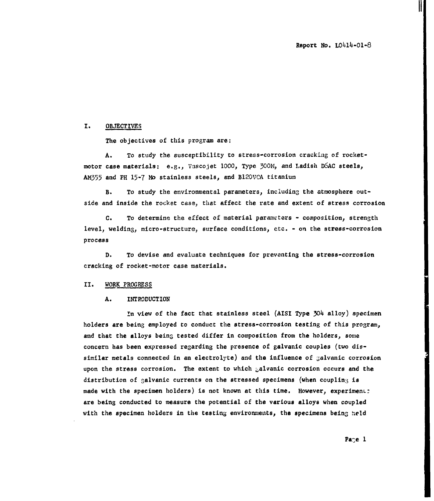$\prod$ 

### I. OBJECTIVES

The objectives of this program are:

A. To study the susceptibility to stress-corrosion cracking of rocketmotor case materials: e.g., Vascojet **1000,** Type **300M,** and Ladish D6AC steels, **AM355** and PH 15-7 **Mo** stainless steels, and B120VCA titanium

B. To study the environmental parameters, including the atmosphere outside and inside the rocket case, that affect the rate and extent of stress corrosion

C. To determine the effect of material parameters - composition, strength level, welding, micro-structure, surface conditions, etc. - on the stress-corrosion process

D. To devise and evaluate techniques for preventing the stress-corrosion cracking of rocket-motor case materials.

#### II. WORK PROGRESS

#### A. INTRODUCTION

In view of the fact that stainless steel (AISI Type 304 alloy) specimen holders are being employed to conduct the stress-corrosion testing of this program, and that the alloys being tested differ in composition from the holders, some concern has been expressed regarding the presence of galvanic couples (two dissimilar metals connected in an electrolyte) and the influence of galvanic corrosion upon the stress corrosion. The extent to which -alvanic corrosion occurs and the distribution of galvanic currents on the stressed specimens (when coupling is made with the specimen holders) is not known at this time. However, experiment: are being conducted to measure the potential of the various alloys when coupled with the specimen holders in the testing environments, the specimens being held

Page **1**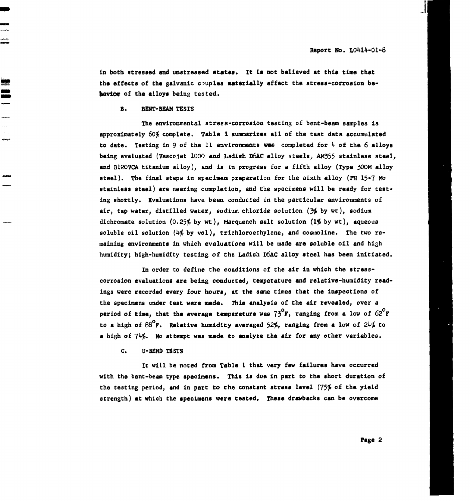in both stressed and unstressed states. It is not believed at this time that the effects of the galvanic couples materially affect the stress-corrosion bebaviOt of the alloys being tested.

#### B. BENT-BEAM TESTS

The environmental stress-corrosion testing of bent-beam samples is approximately **60%** complete. Table 1 sunmmarizes all of the test data accumulated to date. Testing in 9 of the 11 environments wes completed for  $4$  of the 6 alloys being evaluated (Vascojet 1000 and Ladish D6AC alloy steels, **AM355** stainless steel, and B12OVCA titanium alloy), and is in progress for a fifth alloy (Type 300M alloy steel). The final steps in specimen preparation for the aixth alloy (PH 15-7 Mo stainless steel) are nearing completion, and the specimens will be ready for testing shortly. Evaluations have been conducted in the particular environments of air, tap water, distilled water, sodium chloride solution **(3%** by wt), sodium dichromate solution (0.25% by wt), Marquench salt solution (1% by wt), aqueous soluble oil solution  $(4\frac{2}{3}$  by vol), trichloroethylene, and cosmoline. The two remaining environments in which evaluations will be made are soluble oil and high humidity; high-humidity testing of the Ladish D6AC alloy steel has been initiated.

In order to define the conditions of the air in which the stresscorrosion evaluations are being conducted, temperature and relative-humidity readings were recorded every four hours, at the same times that the inspections of the specimens under test were made. This analysis of the air revealed, over a period of time, that the average temperature was  $73^{\circ}$ F, ranging from a low of  $62^{\circ}$ F to a high of **88°F.** Relative humidity averaged 52%, ranging from a low of 24% to a high of 74%. No attempt was made to analyze the air for any other variables.

C. U-BEND TESTS

It will be noted from Table **I** that very few failures have occurred with the bent-beam type specimens. This is due in part to the short duration of the testing period, and in part to the constant stress level (75% of the yield strength) at which the specimens were tested. These drawbacks can be overcome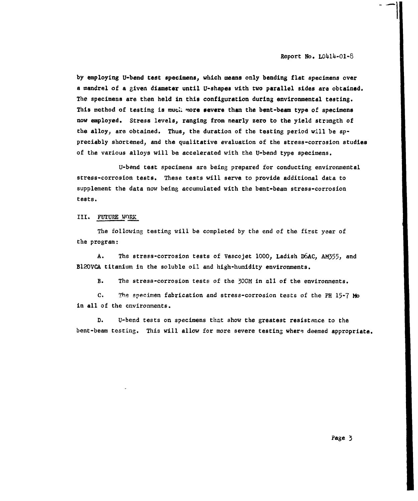Report No. L0414-01-8

by employing U-bend test specimens, which means only bending flat specimens over a mandrel of a given diameter until U-shapes with two parallel sides are obtained. The specimens are then held in this configuration during environmental testing. This method of testing is much more severe than the bent-beam type of specimens now employed. Stress levels, ranging from nearly zero to the yield strangth of the alloy, are obtained. Thus, the duration of the testing period will be appreciably shortened, and the qualitative evaluation of the stress-corrosion studies of the various alloys will be accelerated with the U-bend type specimens.

U-bend test specimens are being prepared for conducting environmental stress-corrosion tests. These tests will serve to provide additional data to supplement the data now being accumulated with the bent-beam stress-corrosion tests.

### III. FUTURE WORK

The following testing will be completed by the end of the first year of the program:

A. The stress-corrosion tests of Vascojet **1000,** Ladish D6AC, AM355, and B12OVCA titanium in the soluble oil and high-humidity environments.

B. The stress-corrosion tests of the 300M in all of the environments.

**C,** The specimen fabrication and stress-corrosion tests of the PH 15-7 **Mo** in all of the environments.

D. U-bend tests on specimens that show the greatest resistance to the bent-beam testing. This will allow for more severe testing where deemed appropriate.

Page 3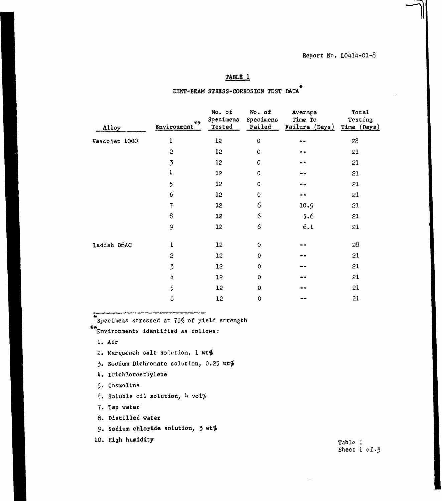### TABLE **1**

| Alloy         | $***$<br>Environment <sup>7</sup> | No. of<br>Specimens<br>Tested | No. of<br>Specimens<br>Failed | Average<br>Time To<br>Failure (Days) | <b>Total</b><br>Testing<br>Time (Days) |  |
|---------------|-----------------------------------|-------------------------------|-------------------------------|--------------------------------------|----------------------------------------|--|
| Vascojet 1000 | $\mathbf 1$                       | 12                            | $\circ$                       |                                      | 28                                     |  |
|               | $\mathbf{c}$                      | 12                            | $\mathsf{O}\xspace$           |                                      | 21                                     |  |
|               | $\overline{5}$                    | 12                            | $\mathbf 0$                   |                                      | 21                                     |  |
|               | 4                                 | 12                            | $\pmb{\mathsf{O}}$            | --                                   | 21                                     |  |
|               | 5                                 | 12                            | $\pmb{\mathsf{O}}$            | --                                   | 21                                     |  |
|               | 6                                 | 12                            | $\circ$                       |                                      | 21                                     |  |
|               | $\overline{7}$                    | 12                            | 6                             | 10.9                                 | 21                                     |  |
|               | 8                                 | 12                            | 6                             | 5.6                                  | 21                                     |  |
|               | 9                                 | $12 \,$                       | 6                             | 6.1                                  | 21                                     |  |
| Ladish D6AC   | $\mathbf{1}$                      | 12                            | $\mathsf{O}\xspace$           | --                                   | 28                                     |  |
|               | $\mathbf{c}$                      | 12                            | 0                             | $\bullet$                            | 21                                     |  |
|               | $\overline{3}$                    | 12                            | 0                             | --                                   | 21                                     |  |
|               | 4                                 | 12                            | 0                             | --                                   | 21                                     |  |
|               | 5                                 | 12                            | $\mathsf{o}\xspace$           |                                      | 21                                     |  |
|               | 6                                 | 12                            | 0                             | . .                                  | 21                                     |  |

# EENT-BEAM STRESS-CORROSION TEST DATA

 $*$ Specimens stressed at  $75%$  of yield strength

Environments identified as follows:

**1.** Air

- 2. Marquench salt solution, 1 wt%
- 3. Sodium Dichromate solution, 0.25 wt%
- 4. Trichloroethylene

. Cosmoline

 $f.$  Soluble oil solution,  $4$  vol $%$ 

7. Tap water

**8.** Distilled water

9. Sodium chloride solution, 3 Wt%

**10.** High humidity Table i

Sheet 1 of.3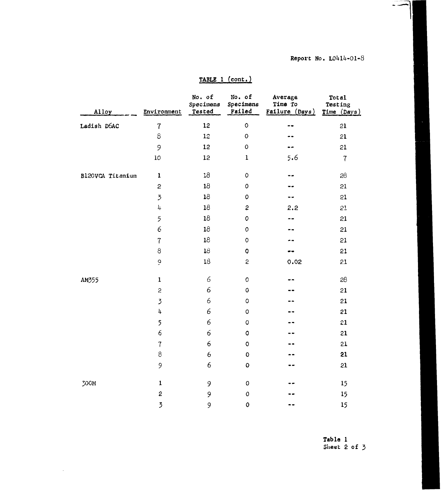## Report No. L0414-01-8

 $\ddot{\phantom{1}}$ 

| <b>TABLE</b> | (cont.) |  |
|--------------|---------|--|
|              |         |  |

| Alloy            | Environment         | No. of<br>Specimens<br>Tested | No. of<br>Specimens<br>Failed | Average<br>Time To<br>Failure (Days) | Total<br>Testing<br>Time (Days) |
|------------------|---------------------|-------------------------------|-------------------------------|--------------------------------------|---------------------------------|
| Ladish D6AC      | $\overline{7}$      | 12                            | $\circ$                       |                                      | 21                              |
|                  | $\rm{8}$            | 12                            | $\circ$                       |                                      | 21                              |
|                  | 9                   | 12                            | $\mathsf{O}\xspace$           |                                      | 21                              |
|                  | 10                  | 12                            | $\mathbf{1}$                  | 5.6                                  | $\overline{7}$                  |
| B120VCA Titanium | $\mathbf{1}$        | 18                            | $\mathsf O$                   |                                      | 28                              |
|                  | $\overline{c}$      | 18                            | $\mathsf{O}\xspace$           |                                      | 21                              |
|                  | $\overline{3}$      | ${\bf 18}$                    | $\mathbf 0$                   |                                      | 21                              |
|                  | 4                   | 18                            | $\mathbf{c}$                  | 2,2                                  | 21                              |
|                  | 5                   | 18                            | $\mathbf 0$                   |                                      | 21                              |
|                  | 6                   | 18                            | $\mathsf{O}\xspace$           |                                      | 21                              |
|                  | $\overline{7}$      | 18                            | $\mathsf{O}\xspace$           |                                      | 21                              |
|                  | 8                   | 18                            | $\overline{O}$                |                                      | 21                              |
|                  | $\mathbf{\dot{G}}$  | 18                            | $\mathsf{S}$                  | 0.02                                 | 21                              |
| AM355            | $\mathbf{1}$        | 6                             | $\mathsf{O}\xspace$           |                                      | 28                              |
|                  | $\mathbf{c}$        | 6                             | $\pmb{\mathsf{O}}$            |                                      | 21                              |
|                  | $\overline{3}$      | 6                             | $\circ$                       |                                      | 21                              |
|                  | $\mathbf{\ddot{4}}$ | 6                             | $\mathsf{O}\xspace$           |                                      | 21                              |
|                  | 5                   | 6                             | $\circ$                       |                                      | 21                              |
|                  | $\epsilon$          | 6                             | $\mathbf 0$                   |                                      | 21                              |
|                  | $\overline{7}$      | $\epsilon$                    | $\mathbf 0$                   |                                      | 21                              |
|                  | $\,8\,$             | 6                             | $\mathbf 0$                   |                                      | 21                              |
|                  | 9                   | 6                             | $\mathbf 0$                   |                                      | 21                              |
| 300M             | $\mathbf{1}$        | 9                             | $\pmb{\mathsf{O}}$            |                                      | 15                              |
|                  | $\mathbf{c}$        | 9                             | $\mathsf{O}\xspace$           |                                      | 15                              |
|                  | $\overline{3}$      | 9                             | $\mathbf 0$                   |                                      | 15                              |

 $\sim$ 

Table **1** Sheet 2 of **3**